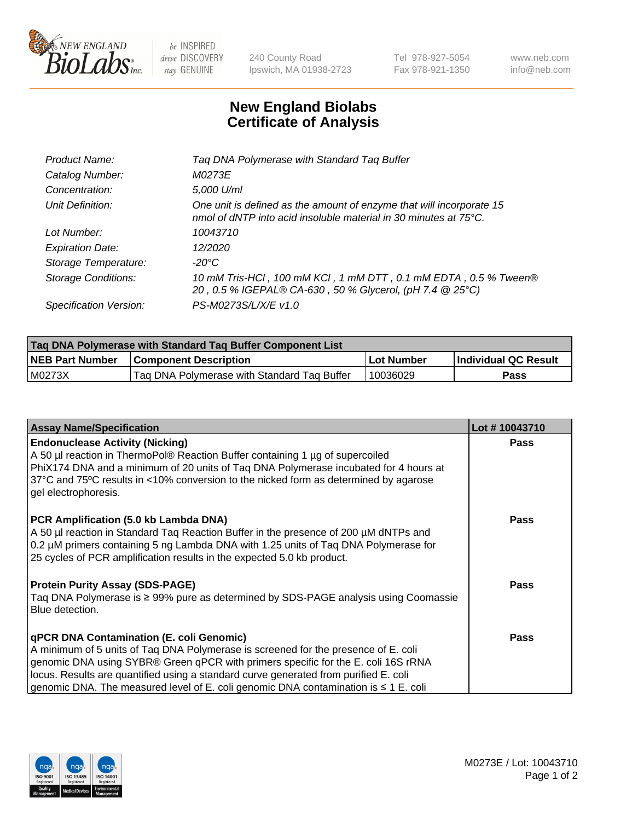

 $be$  INSPIRED drive DISCOVERY stay GENUINE

240 County Road Ipswich, MA 01938-2723 Tel 978-927-5054 Fax 978-921-1350 www.neb.com info@neb.com

## **New England Biolabs Certificate of Analysis**

| Product Name:              | Tag DNA Polymerase with Standard Tag Buffer                                                                                                        |
|----------------------------|----------------------------------------------------------------------------------------------------------------------------------------------------|
| Catalog Number:            | M0273E                                                                                                                                             |
| Concentration:             | 5,000 U/ml                                                                                                                                         |
| Unit Definition:           | One unit is defined as the amount of enzyme that will incorporate 15<br>nmol of dNTP into acid insoluble material in 30 minutes at $75^{\circ}$ C. |
| Lot Number:                | 10043710                                                                                                                                           |
| <b>Expiration Date:</b>    | 12/2020                                                                                                                                            |
| Storage Temperature:       | $-20^{\circ}$ C                                                                                                                                    |
| <b>Storage Conditions:</b> | 10 mM Tris-HCl, 100 mM KCl, 1 mM DTT, 0.1 mM EDTA, 0.5 % Tween®<br>20, 0.5 % IGEPAL® CA-630, 50 % Glycerol, (pH 7.4 @ 25°C)                        |
| Specification Version:     | PS-M0273S/L/X/E v1.0                                                                                                                               |

| <b>Tag DNA Polymerase with Standard Tag Buffer Component List</b> |                                             |                   |                      |  |
|-------------------------------------------------------------------|---------------------------------------------|-------------------|----------------------|--|
| <b>NEB Part Number</b>                                            | <b>Component Description</b>                | <b>Lot Number</b> | Individual QC Result |  |
| M0273X                                                            | Tag DNA Polymerase with Standard Tag Buffer | 10036029          | Pass                 |  |

| <b>Assay Name/Specification</b>                                                                                                                                                                                                                                                                                                                                                                         | Lot #10043710 |
|---------------------------------------------------------------------------------------------------------------------------------------------------------------------------------------------------------------------------------------------------------------------------------------------------------------------------------------------------------------------------------------------------------|---------------|
| <b>Endonuclease Activity (Nicking)</b><br>A 50 µl reaction in ThermoPol® Reaction Buffer containing 1 µg of supercoiled<br>PhiX174 DNA and a minimum of 20 units of Tag DNA Polymerase incubated for 4 hours at<br>37°C and 75°C results in <10% conversion to the nicked form as determined by agarose<br>gel electrophoresis.                                                                         | <b>Pass</b>   |
| PCR Amplification (5.0 kb Lambda DNA)<br>A 50 µl reaction in Standard Taq Reaction Buffer in the presence of 200 µM dNTPs and<br>0.2 µM primers containing 5 ng Lambda DNA with 1.25 units of Tag DNA Polymerase for<br>25 cycles of PCR amplification results in the expected 5.0 kb product.                                                                                                          | <b>Pass</b>   |
| <b>Protein Purity Assay (SDS-PAGE)</b><br>Taq DNA Polymerase is ≥ 99% pure as determined by SDS-PAGE analysis using Coomassie<br>Blue detection.                                                                                                                                                                                                                                                        | <b>Pass</b>   |
| qPCR DNA Contamination (E. coli Genomic)<br>A minimum of 5 units of Taq DNA Polymerase is screened for the presence of E. coli<br>genomic DNA using SYBR® Green qPCR with primers specific for the E. coli 16S rRNA<br>locus. Results are quantified using a standard curve generated from purified E. coli<br>genomic DNA. The measured level of E. coli genomic DNA contamination is $\leq 1$ E. coli | <b>Pass</b>   |